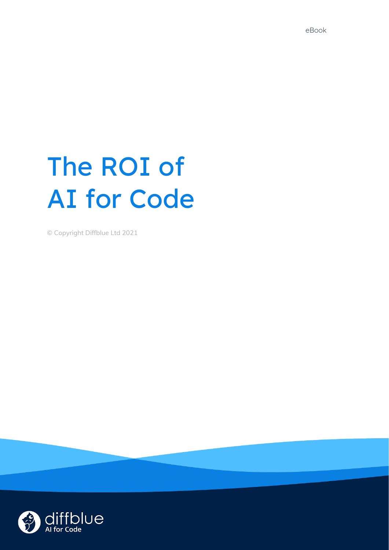# The ROI of AI for Code

© Copyright Diffblue Ltd 2021

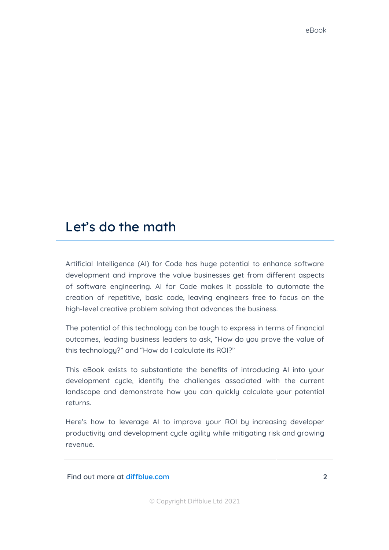## Let's do the math

Artificial Intelligence (AI) for Code has huge potential to enhance software development and improve the value businesses get from different aspects of software engineering. AI for Code makes it possible to automate the creation of repetitive, basic code, leaving engineers free to focus on the high-level creative problem solving that advances the business.

The potential of this technology can be tough to express in terms of financial outcomes, leading business leaders to ask, "How do you prove the value of this technology?" and "How do I calculate its ROI?"

This eBook exists to substantiate the benefits of introducing AI into your development cycle, identify the challenges associated with the current landscape and demonstrate how you can quickly calculate your potential returns.

Here's how to leverage AI to improve your ROI by increasing developer productivity and development cycle agility while mitigating risk and growing revenue.

**Find out more at [diffblue.com](https://www.diffblue.com/) 2**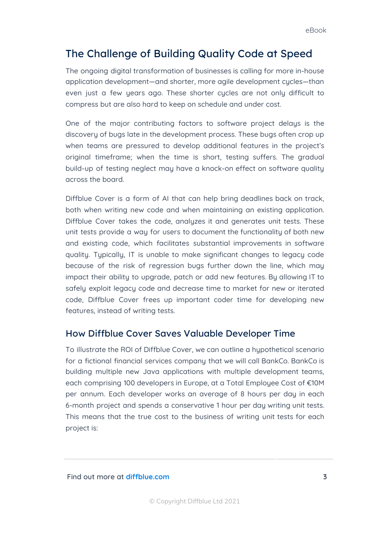## The Challenge of Building Quality Code at Speed

The ongoing digital transformation of businesses is calling for more in-house application development—and shorter, more agile development cycles—than even just a few years ago. These shorter cycles are not only difficult to compress but are also hard to keep on schedule and under cost.

One of the major contributing factors to software project delays is the discovery of bugs late in the development process. These bugs often crop up when teams are pressured to develop additional features in the project's original timeframe; when the time is short, testing suffers. The gradual build-up of testing neglect may have a knock-on effect on software quality across the board.

Diffblue Cover is a form of AI that can help bring deadlines back on track, both when writing new code and when maintaining an existing application. Diffblue Cover takes the code, analyzes it and generates unit tests. These unit tests provide a way for users to document the functionality of both new and existing code, which facilitates substantial improvements in software quality. Typically, IT is unable to make significant changes to legacy code because of the risk of regression bugs further down the line, which may impact their ability to upgrade, patch or add new features. By allowing IT to safely exploit legacy code and decrease time to market for new or iterated code, Diffblue Cover frees up important coder time for developing new features, instead of writing tests.

### How Diffblue Cover Saves Valuable Developer Time

To illustrate the ROI of Diffblue Cover, we can outline a hypothetical scenario for a fictional financial services company that we will call BankCo. BankCo is building multiple new Java applications with multiple development teams, each comprising 100 developers in Europe, at a Total Employee Cost of €10M per annum. Each developer works an average of 8 hours per day in each 6-month project and spends a conservative 1 hour per day writing unit tests. This means that the true cost to the business of writing unit tests for each project is: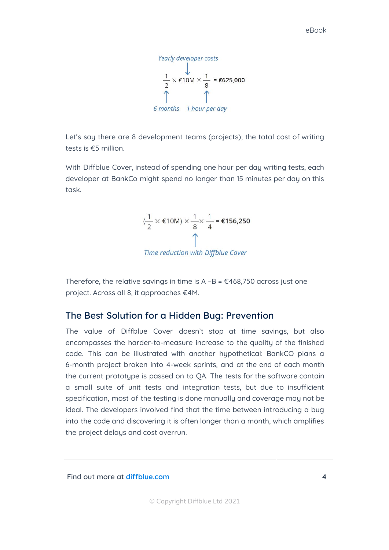Yearly developer costs  $\frac{1}{2}$  × €10M ×  $\frac{1}{8}$  = €625,000 6 months 1 hour per day

Let's say there are 8 development teams (projects); the total cost of writing tests is €5 million.

With Diffblue Cover, instead of spending one hour per day writing tests, each developer at BankCo might spend no longer than 15 minutes per day on this task.

$$
(\frac{1}{2} \times \epsilon 10M) \times \frac{1}{8} \times \frac{1}{4} = \epsilon 156,250
$$

Time reduction with Diffblue Cover

Therefore, the relative savings in time is  $A - B = \text{\textsterling}468,750$  across just one project. Across all 8, it approaches €4M.

### The Best Solution for a Hidden Bug: Prevention

The value of Diffblue Cover doesn't stop at time savings, but also encompasses the harder-to-measure increase to the quality of the finished code. This can be illustrated with another hypothetical: BankCO plans a 6-month project broken into 4-week sprints, and at the end of each month the current prototype is passed on to QA. The tests for the software contain a small suite of unit tests and integration tests, but due to insufficient specification, most of the testing is done manually and coverage may not be ideal. The developers involved find that the time between introducing a bug into the code and discovering it is often longer than a month, which amplifies the project delays and cost overrun.

**Find out more at [diffblue.com](https://www.diffblue.com/) 4**